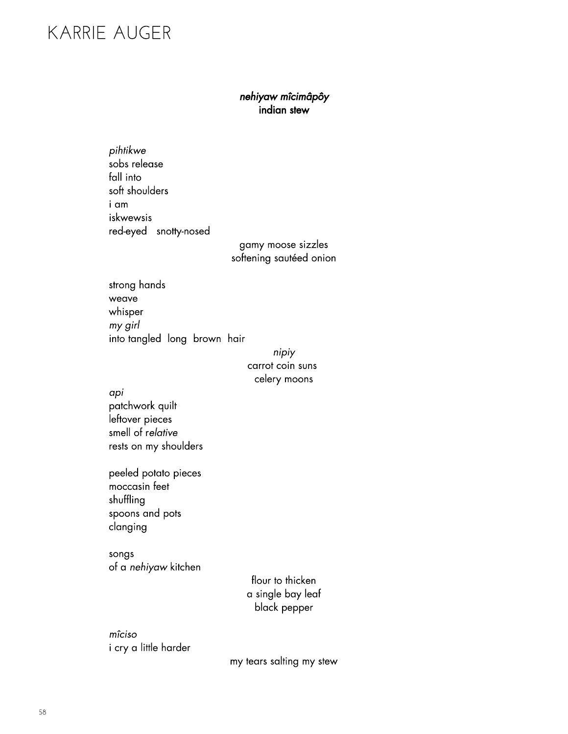# Karrier august 1998 – 1998 – 1999 – 1999 – 1999 – 1999 – 1999 – 1999 – 1999 – 1999 – 1999 – 1999 – 1999 – 1999 – 1<br>Die volgens 1999 – 1999 – 1999 – 1999 – 1999 – 1999 – 1999 – 1999 – 1999 – 1999 – 1999 – 1999 – 1999 – 1999

### nehiyaw mîcimâpôy<br>indian stew indiana dian

pihtikwe<br>sobs release fall into soft shoulders i am iskwewsis iskwewsis<br>Kod ovod  $r = r$ 

gamy moore can success softening castical continu

strong hands<br>weave whisper my girl  $\frac{1}{2}$  or  $\frac{1}{2}$ into tangled tangled  $\overline{\phantom{a}}$ 

#### nipiy<br>carrot coin suns calary moons celery moons

*api*<br>patchwork quilt leftover pieces

smell of relative smell of relative restaurant production of the short of the short of the short of the short of the short of the short of the short of the short of the short of the short of the short of the short of the short of the short of the short of th

peeled potato pieces<br>moccasin feet shuffling spoons and pots spoons and pool clanging 

songs of a nehiyaw kitchen

flour to thicken<br>a single bay leaf a single a sy reaf black black black black black black black black black black black black black black black black black black bl<br>England

 $\frac{1}{1}$  and  $\frac{1}{2}$ in the community of the community of the community of the community of the community of the community of the community of the community of the community of the community of the community of the community of the community o

my tears salting my stew